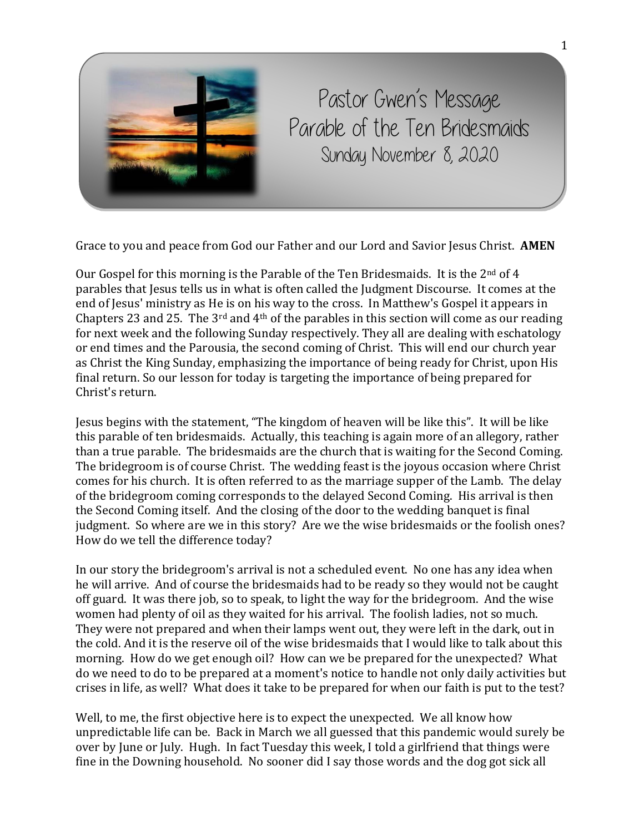

Pastor Gwen's Message Parable of the Ten Bridesmaids Sunday November 8, 2020

Grace to you and peace from God our Father and our Lord and Savior Jesus Christ. **AMEN**

Our Gospel for this morning is the Parable of the Ten Bridesmaids. It is the  $2<sup>nd</sup>$  of 4 parables that Jesus tells us in what is often called the Judgment Discourse. It comes at the end of Jesus' ministry as He is on his way to the cross. In Matthew's Gospel it appears in Chapters 23 and 25. The  $3^{rd}$  and  $4^{th}$  of the parables in this section will come as our reading for next week and the following Sunday respectively. They all are dealing with eschatology or end times and the Parousia, the second coming of Christ. This will end our church year as Christ the King Sunday, emphasizing the importance of being ready for Christ, upon His final return. So our lesson for today is targeting the importance of being prepared for Christ's return.

Jesus begins with the statement, "The kingdom of heaven will be like this". It will be like this parable of ten bridesmaids. Actually, this teaching is again more of an allegory, rather than a true parable. The bridesmaids are the church that is waiting for the Second Coming. The bridegroom is of course Christ. The wedding feast is the joyous occasion where Christ comes for his church. It is often referred to as the marriage supper of the Lamb. The delay of the bridegroom coming corresponds to the delayed Second Coming. His arrival is then the Second Coming itself. And the closing of the door to the wedding banquet is final judgment. So where are we in this story? Are we the wise bridesmaids or the foolish ones? How do we tell the difference today?

In our story the bridegroom's arrival is not a scheduled event. No one has any idea when he will arrive. And of course the bridesmaids had to be ready so they would not be caught off guard. It was there job, so to speak, to light the way for the bridegroom. And the wise women had plenty of oil as they waited for his arrival. The foolish ladies, not so much. They were not prepared and when their lamps went out, they were left in the dark, out in the cold. And it is the reserve oil of the wise bridesmaids that I would like to talk about this morning. How do we get enough oil? How can we be prepared for the unexpected? What do we need to do to be prepared at a moment's notice to handle not only daily activities but crises in life, as well? What does it take to be prepared for when our faith is put to the test?

Well, to me, the first objective here is to expect the unexpected. We all know how unpredictable life can be. Back in March we all guessed that this pandemic would surely be over by June or July. Hugh. In fact Tuesday this week, I told a girlfriend that things were fine in the Downing household. No sooner did I say those words and the dog got sick all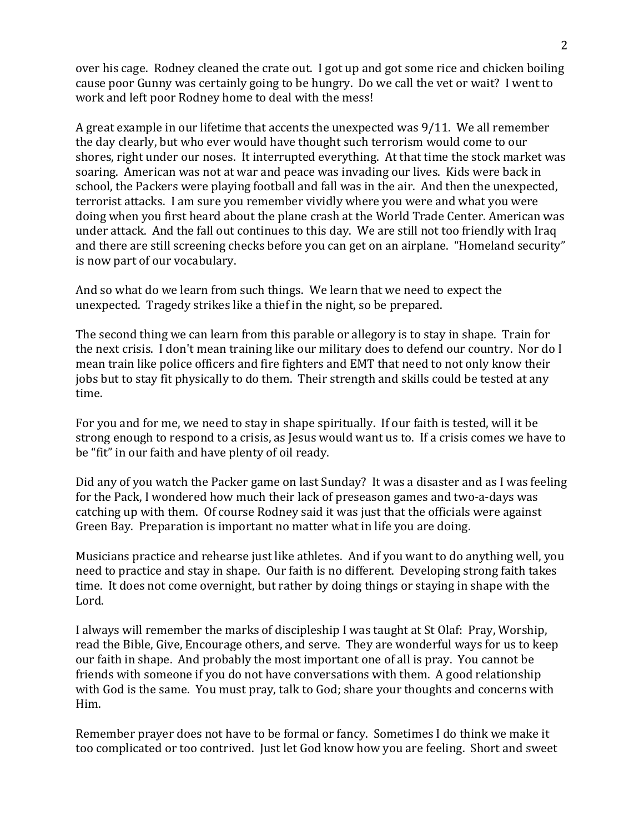over his cage. Rodney cleaned the crate out. I got up and got some rice and chicken boiling cause poor Gunny was certainly going to be hungry. Do we call the vet or wait? I went to work and left poor Rodney home to deal with the mess!

A great example in our lifetime that accents the unexpected was 9/11. We all remember the day clearly, but who ever would have thought such terrorism would come to our shores, right under our noses. It interrupted everything. At that time the stock market was soaring. American was not at war and peace was invading our lives. Kids were back in school, the Packers were playing football and fall was in the air. And then the unexpected, terrorist attacks. I am sure you remember vividly where you were and what you were doing when you first heard about the plane crash at the World Trade Center. American was under attack. And the fall out continues to this day. We are still not too friendly with Iraq and there are still screening checks before you can get on an airplane. "Homeland security" is now part of our vocabulary.

And so what do we learn from such things. We learn that we need to expect the unexpected. Tragedy strikes like a thief in the night, so be prepared.

The second thing we can learn from this parable or allegory is to stay in shape. Train for the next crisis. I don't mean training like our military does to defend our country. Nor do I mean train like police officers and fire fighters and EMT that need to not only know their jobs but to stay fit physically to do them. Their strength and skills could be tested at any time.

For you and for me, we need to stay in shape spiritually. If our faith is tested, will it be strong enough to respond to a crisis, as Jesus would want us to. If a crisis comes we have to be "fit" in our faith and have plenty of oil ready.

Did any of you watch the Packer game on last Sunday? It was a disaster and as I was feeling for the Pack, I wondered how much their lack of preseason games and two-a-days was catching up with them. Of course Rodney said it was just that the officials were against Green Bay. Preparation is important no matter what in life you are doing.

Musicians practice and rehearse just like athletes. And if you want to do anything well, you need to practice and stay in shape. Our faith is no different. Developing strong faith takes time. It does not come overnight, but rather by doing things or staying in shape with the Lord.

I always will remember the marks of discipleship I was taught at St Olaf: Pray, Worship, read the Bible, Give, Encourage others, and serve. They are wonderful ways for us to keep our faith in shape. And probably the most important one of all is pray. You cannot be friends with someone if you do not have conversations with them. A good relationship with God is the same. You must pray, talk to God; share your thoughts and concerns with Him.

Remember prayer does not have to be formal or fancy. Sometimes I do think we make it too complicated or too contrived. Just let God know how you are feeling. Short and sweet